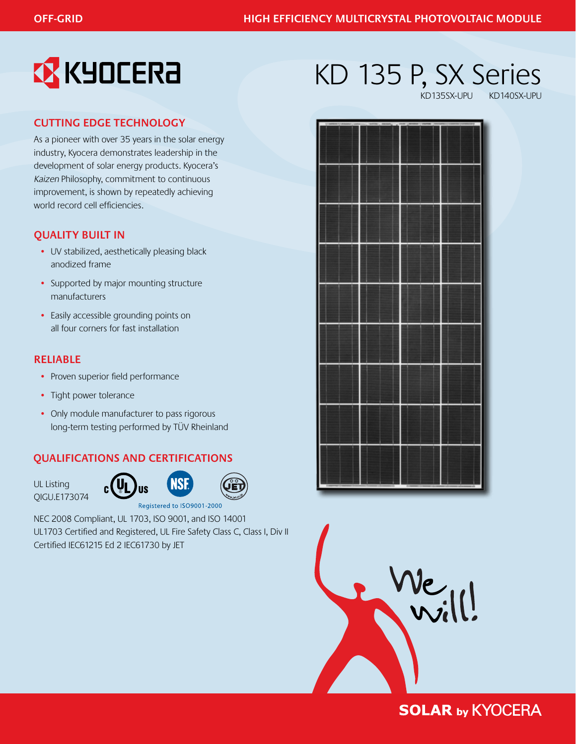

## **Cutting Edge Technology**

As a pioneer with over 35 years in the solar energy industry, Kyocera demonstrates leadership in the development of solar energy products. Kyocera's Kaizen Philosophy, commitment to continuous improvement, is shown by repeatedly achieving world record cell efficiencies.

## **Quality Built In**

- UV stabilized, aesthetically pleasing black anodized frame
- Supported by major mounting structure manufacturers
- Easily accessible grounding points on all four corners for fast installation

## **Reliable**

- Proven superior field performance
- Tight power tolerance
- Only module manufacturer to pass rigorous long-term testing performed by TÜV Rheinland

## **Qualifications and Certifications**

 $\mathsf{g}(\mathsf{U}_1)$ 







Registered to ISO9001-2000

NEC 2008 Compliant, UL 1703, ISO 9001, and ISO 14001 UL1703 Certified and Registered, UL Fire Safety Class C, Class I, Div II Certified IEC61215 Ed 2 IEC61730 by JET

# KD 135 P, SX Series

KD135SX-UPU





## **SOLAR by KYOCERA**